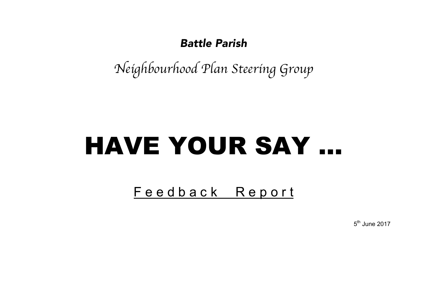## *Battle Parish*

*Neighbourhood Plan Steering Group*

# HAVE YOUR SAY …

Feedback Report

5<sup>th</sup> June 2017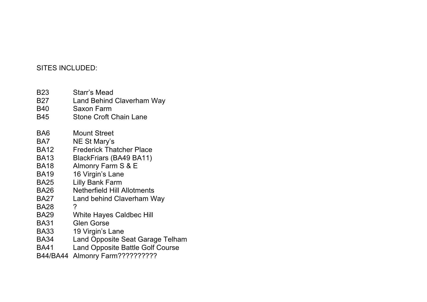### SITES INCLUDED:

- B23 Starr's Mead
- B27 Land Behind Claverham Way
- B40 Saxon Farm
- B45 Stone Croft Chain Lane
- BA6 Mount Street
- BA7 NE St Mary's
- BA12 Frederick Thatcher Place
- BA13 BlackFriars (BA49 BA11)
- BA18 Almonry Farm S & E
- BA19 16 Virgin's Lane
- BA25 Lilly Bank Farm
- BA26 Netherfield Hill Allotments
- BA27 Land behind Claverham Way
- BA28 ?
- BA29 White Hayes Caldbec Hill
- BA31 Glen Gorse
- BA33 19 Virgin's Lane
- BA34 Land Opposite Seat Garage Telham
- BA41 Land Opposite Battle Golf Course
- B44/BA44 Almonry Farm??????????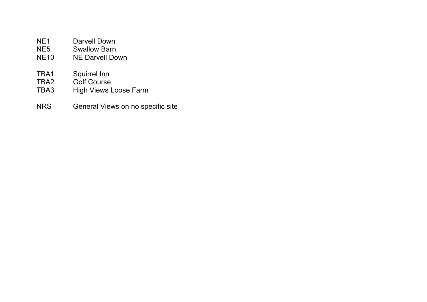- NE1 Darvell Down<br>NE5 Swallow Barn
- 
- NE5 Swallow Barn<br>NE10 NE Darvell Do NE Darvell Down
- TBA1 Squirrel Inn<br>TBA2 Golf Course
- 
- TBA2 Golf Course<br>TBA3 High Views L High Views Loose Farm
- NRS General Views on no specific site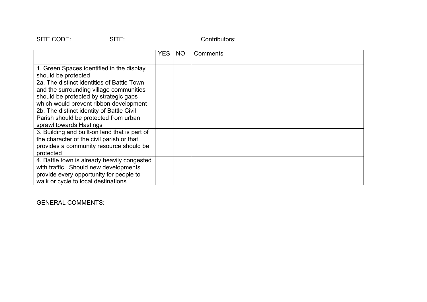| SITE CODE:                                                                                                                                                               | SITE: |            |     | Contributors: |
|--------------------------------------------------------------------------------------------------------------------------------------------------------------------------|-------|------------|-----|---------------|
|                                                                                                                                                                          |       | <b>YES</b> | NO. | Comments      |
| 1. Green Spaces identified in the display<br>should be protected                                                                                                         |       |            |     |               |
| 2a. The distinct identities of Battle Town<br>and the surrounding village communities<br>should be protected by strategic gaps<br>which would prevent ribbon development |       |            |     |               |
| 2b. The distinct identity of Battle Civil<br>Parish should be protected from urban<br>sprawl towards Hastings                                                            |       |            |     |               |
| 3. Building and built-on land that is part of<br>the character of the civil parish or that<br>provides a community resource should be<br>protected                       |       |            |     |               |
| 4. Battle town is already heavily congested<br>with traffic. Should new developments<br>provide every opportunity for people to<br>walk or cycle to local destinations   |       |            |     |               |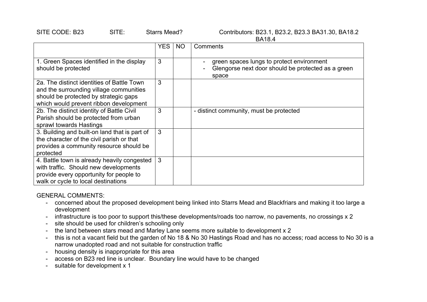| SITE CODE: B23                                                                                                                                                           | SITE: | <b>Starrs Mead?</b> |     | Contributors: B23.1, B23.2, B23.3 BA31.30, BA18.2<br><b>BA18.4</b>                                       |
|--------------------------------------------------------------------------------------------------------------------------------------------------------------------------|-------|---------------------|-----|----------------------------------------------------------------------------------------------------------|
|                                                                                                                                                                          |       | <b>YES</b>          | NO. | Comments                                                                                                 |
| 1. Green Spaces identified in the display<br>should be protected                                                                                                         |       | 3                   |     | green spaces lungs to protect environment<br>Glengorse next door should be protected as a green<br>space |
| 2a. The distinct identities of Battle Town<br>and the surrounding village communities<br>should be protected by strategic gaps<br>which would prevent ribbon development |       | 3                   |     |                                                                                                          |
| 2b. The distinct identity of Battle Civil<br>Parish should be protected from urban<br>sprawl towards Hastings                                                            |       | 3                   |     | - distinct community, must be protected                                                                  |
| 3. Building and built-on land that is part of<br>the character of the civil parish or that<br>provides a community resource should be<br>protected                       |       | 3                   |     |                                                                                                          |
| 4. Battle town is already heavily congested<br>with traffic. Should new developments<br>provide every opportunity for people to<br>walk or cycle to local destinations   |       | 3                   |     |                                                                                                          |

- concerned about the proposed development being linked into Starrs Mead and Blackfriars and making it too large a development
- infrastructure is too poor to support this/these developments/roads too narrow, no pavements, no crossings x 2
- site should be used for children's schooling only
- the land between stars mead and Marley Lane seems more suitable to development x 2
- this is not a vacant field but the garden of No 18 & No 30 Hastings Road and has no access; road access to No 30 is a narrow unadopted road and not suitable for construction traffic
- housing density is inappropriate for this area
- access on B23 red line is unclear. Boundary line would have to be changed
- suitable for development x 1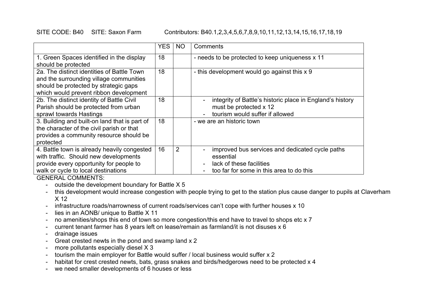### SITE CODE: B40 SITE: Saxon Farm Contributors: B40.1,2,3,4,5,6,7,8,9,10,11,12,13,14,15,16,17,18,19

|                                                                                                                                                                                                  | <b>YES</b> | <b>NO</b>      | Comments                                                                                                                                                                                     |
|--------------------------------------------------------------------------------------------------------------------------------------------------------------------------------------------------|------------|----------------|----------------------------------------------------------------------------------------------------------------------------------------------------------------------------------------------|
| 1. Green Spaces identified in the display<br>should be protected                                                                                                                                 | 18         |                | - needs to be protected to keep uniqueness x 11                                                                                                                                              |
| 2a. The distinct identities of Battle Town<br>and the surrounding village communities<br>should be protected by strategic gaps<br>which would prevent ribbon development                         | 18         |                | - this development would go against this x 9                                                                                                                                                 |
| 2b. The distinct identity of Battle Civil<br>Parish should be protected from urban<br>sprawl towards Hastings                                                                                    | 18         |                | integrity of Battle's historic place in England's history<br>must be protected x 12<br>tourism would suffer if allowed                                                                       |
| 3. Building and built-on land that is part of<br>the character of the civil parish or that<br>provides a community resource should be<br>protected                                               | 18         |                | - we are an historic town                                                                                                                                                                    |
| 4. Battle town is already heavily congested<br>with traffic. Should new developments<br>provide every opportunity for people to<br>walk or cycle to local destinations<br>______________________ | 16         | $\overline{2}$ | improved bus services and dedicated cycle paths<br>essential<br>lack of these facilities<br>$\overline{\phantom{a}}$<br>too far for some in this area to do this<br>$\overline{\phantom{a}}$ |

- outside the development boundary for Battle X 5
- this development would increase congestion with people trying to get to the station plus cause danger to pupils at Claverham X 12
- infrastructure roads/narrowness of current roads/services can't cope with further houses x 10
- lies in an AONB/ unique to Battle X 11
- no amenities/shops this end of town so more congestion/this end have to travel to shops etc x 7
- current tenant farmer has 8 years left on lease/remain as farmland/it is not disuses x 6
- drainage issues
- Great crested newts in the pond and swamp land x 2
- more pollutants especially diesel X 3
- tourism the main employer for Battle would suffer / local business would suffer x 2
- habitat for crest crested newts, bats, grass snakes and birds/hedgerows need to be protected x 4
- we need smaller developments of 6 houses or less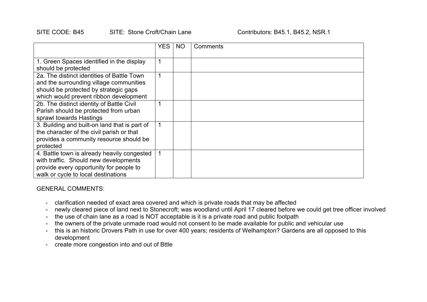|                                                                                 | <b>YES</b> | <b>NO</b> | Comments |
|---------------------------------------------------------------------------------|------------|-----------|----------|
| 1. Green Spaces identified in the display                                       | 1          |           |          |
| should be protected                                                             |            |           |          |
| 2a. The distinct identities of Battle Town                                      | 1          |           |          |
| and the surrounding village communities                                         |            |           |          |
| should be protected by strategic gaps<br>which would prevent ribbon development |            |           |          |
| 2b. The distinct identity of Battle Civil                                       | 1          |           |          |
| Parish should be protected from urban                                           |            |           |          |
| sprawl towards Hastings                                                         |            |           |          |
| 3. Building and built-on land that is part of                                   |            |           |          |
| the character of the civil parish or that                                       |            |           |          |
| provides a community resource should be                                         |            |           |          |
| protected<br>4. Battle town is already heavily congested                        |            |           |          |
| with traffic. Should new developments                                           |            |           |          |
| provide every opportunity for people to                                         |            |           |          |
| walk or cycle to local destinations                                             |            |           |          |

- clarification needed of exact area covered and which is private roads that may be affected
- newly cleared piece of land next to Stonecroft; was woodland until April 17 cleared before we could get tree officer involved
- the use of chain lane as a road is NOT acceptable is it is a private road and public footpath
- the owners of the private unmade road would not consent to be made available for public and vehicular use
- this is an historic Drovers Path in use for over 400 years; residents of Welhampton? Gardens are all opposed to this development
- create more congestion into and out of Bttle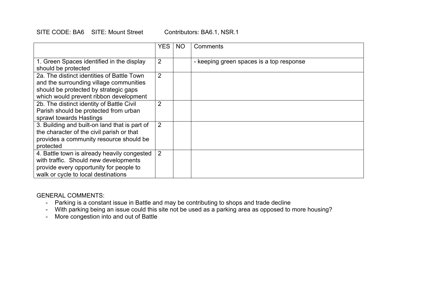#### SITE CODE: BA6 SITE: Mount Street Contributors: BA6.1, NSR.1

|                                                                                                                                                                          | <b>YES</b>     | <b>NO</b> | Comments                                 |
|--------------------------------------------------------------------------------------------------------------------------------------------------------------------------|----------------|-----------|------------------------------------------|
| 1. Green Spaces identified in the display<br>should be protected                                                                                                         | $\overline{2}$ |           | - keeping green spaces is a top response |
| 2a. The distinct identities of Battle Town<br>and the surrounding village communities<br>should be protected by strategic gaps<br>which would prevent ribbon development | $\overline{2}$ |           |                                          |
| 2b. The distinct identity of Battle Civil<br>Parish should be protected from urban<br>sprawl towards Hastings                                                            | $\overline{2}$ |           |                                          |
| 3. Building and built-on land that is part of<br>the character of the civil parish or that<br>provides a community resource should be<br>protected                       | 2              |           |                                          |
| 4. Battle town is already heavily congested<br>with traffic. Should new developments<br>provide every opportunity for people to<br>walk or cycle to local destinations   | 2              |           |                                          |

- Parking is a constant issue in Battle and may be contributing to shops and trade decline
- With parking being an issue could this site not be used as a parking area as opposed to more housing?
- More congestion into and out of Battle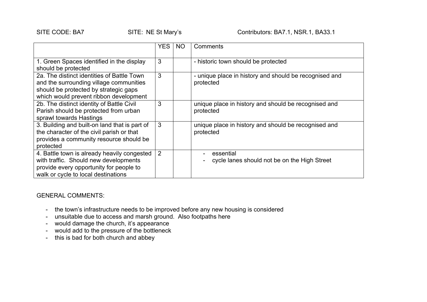|                                                                                                                                                                          | <b>YES</b> | NO | Comments                                                            |
|--------------------------------------------------------------------------------------------------------------------------------------------------------------------------|------------|----|---------------------------------------------------------------------|
| 1. Green Spaces identified in the display<br>should be protected                                                                                                         | 3          |    | - historic town should be protected                                 |
| 2a. The distinct identities of Battle Town<br>and the surrounding village communities<br>should be protected by strategic gaps<br>which would prevent ribbon development | 3          |    | - unique place in history and should be recognised and<br>protected |
| 2b. The distinct identity of Battle Civil<br>Parish should be protected from urban<br>sprawl towards Hastings                                                            | 3          |    | unique place in history and should be recognised and<br>protected   |
| 3. Building and built-on land that is part of<br>the character of the civil parish or that<br>provides a community resource should be<br>protected                       | 3          |    | unique place in history and should be recognised and<br>protected   |
| 4. Battle town is already heavily congested<br>with traffic. Should new developments<br>provide every opportunity for people to<br>walk or cycle to local destinations   | 2          |    | essential<br>cycle lanes should not be on the High Street           |

- the town's infrastructure needs to be improved before any new housing is considered
- unsuitable due to access and marsh ground. Also footpaths here
- would damage the church, it's appearance
- would add to the pressure of the bottleneck
- this is bad for both church and abbey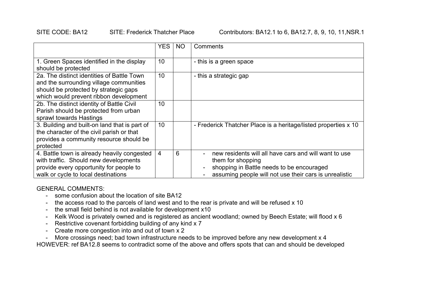SITE CODE: BA12 SITE: Frederick Thatcher Place Contributors: BA12.1 to 6, BA12.7, 8, 9, 10, 11, NSR.1

|                                                                                                                                                                          | <b>YES</b> | <b>NO</b> | Comments                                                                                                                                                                                                      |
|--------------------------------------------------------------------------------------------------------------------------------------------------------------------------|------------|-----------|---------------------------------------------------------------------------------------------------------------------------------------------------------------------------------------------------------------|
| 1. Green Spaces identified in the display<br>should be protected                                                                                                         | 10         |           | - this is a green space                                                                                                                                                                                       |
| 2a. The distinct identities of Battle Town<br>and the surrounding village communities<br>should be protected by strategic gaps<br>which would prevent ribbon development | 10         |           | - this a strategic gap                                                                                                                                                                                        |
| 2b. The distinct identity of Battle Civil<br>Parish should be protected from urban<br>sprawl towards Hastings                                                            | 10         |           |                                                                                                                                                                                                               |
| 3. Building and built-on land that is part of<br>the character of the civil parish or that<br>provides a community resource should be<br>protected                       | 10         |           | - Frederick Thatcher Place is a heritage/listed properties x 10                                                                                                                                               |
| 4. Battle town is already heavily congested<br>with traffic. Should new developments<br>provide every opportunity for people to<br>walk or cycle to local destinations   | 4          | 6         | new residents will all have cars and will want to use<br>them for shopping<br>shopping in Battle needs to be encouraged<br>$\overline{\phantom{a}}$<br>assuming people will not use their cars is unrealistic |

GENERAL COMMENTS:

- some confusion about the location of site BA12
- the access road to the parcels of land west and to the rear is private and will be refused x 10
- the small field behind is not available for development x10
- Kelk Wood is privately owned and is registered as ancient woodland; owned by Beech Estate; will flood x 6
- Restrictive covenant forbidding building of any kind x 7
- Create more congestion into and out of town x 2
- More crossings need; bad town infrastructure needs to be improved before any new development x 4

HOWEVER: ref BA12.8 seems to contradict some of the above and offers spots that can and should be developed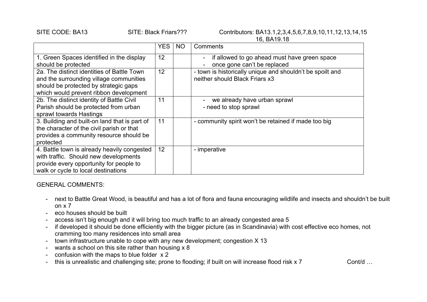SITE CODE: BA13 SITE: Black Friars??? Contributors: BA13.1,2,3,4,5,6,7,8,9,10,11,12,13,14,15 16, BA19.18

|                                               | <b>YES</b> | <b>NO</b> | Comments                                                  |
|-----------------------------------------------|------------|-----------|-----------------------------------------------------------|
| 1. Green Spaces identified in the display     | 12         |           | if allowed to go ahead must have green space              |
| should be protected                           |            |           | once gone can't be replaced                               |
| 2a. The distinct identities of Battle Town    | 12         |           | - town is historically unique and shouldn't be spoilt and |
| and the surrounding village communities       |            |           | neither should Black Friars x3                            |
| should be protected by strategic gaps         |            |           |                                                           |
| which would prevent ribbon development        |            |           |                                                           |
| 2b. The distinct identity of Battle Civil     | 11         |           | we already have urban sprawl                              |
| Parish should be protected from urban         |            |           | - need to stop sprawl                                     |
| sprawl towards Hastings                       |            |           |                                                           |
| 3. Building and built-on land that is part of | 11         |           | - community spirit won't be retained if made too big      |
| the character of the civil parish or that     |            |           |                                                           |
| provides a community resource should be       |            |           |                                                           |
| protected                                     |            |           |                                                           |
| 4. Battle town is already heavily congested   | 12         |           | - imperative                                              |
| with traffic. Should new developments         |            |           |                                                           |
| provide every opportunity for people to       |            |           |                                                           |
| walk or cycle to local destinations           |            |           |                                                           |

- next to Battle Great Wood, is beautiful and has a lot of flora and fauna encouraging wildlife and insects and shouldn't be built on x 7
- eco houses should be built
- access isn't big enough and it will bring too much traffic to an already congested area 5
- if developed it should be done efficiently with the bigger picture (as in Scandinavia) with cost effective eco homes, not cramming too many residences into small area
- town infrastructure unable to cope with any new development; congestion X 13
- wants a school on this site rather than housing x 8
- confusion with the maps to blue folder x 2
- this is unrealistic and challenging site; prone to flooding; if built on will increase flood risk x 7 Cont/d ...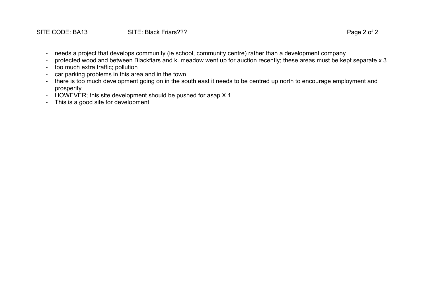- needs a project that develops community (ie school, community centre) rather than a development company
- protected woodland between Blackfiars and k. meadow went up for auction recently; these areas must be kept separate x 3
- too much extra traffic; pollution
- car parking problems in this area and in the town
- there is too much development going on in the south east it needs to be centred up north to encourage employment and prosperity
- HOWEVER; this site development should be pushed for asap X 1
- This is a good site for development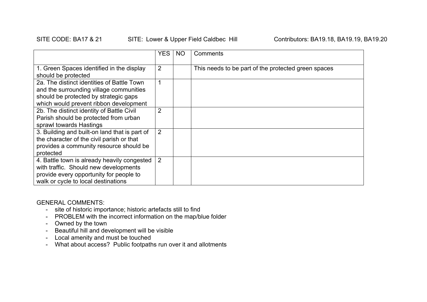#### SITE CODE: BA17 & 21 SITE: Lower & Upper Field Caldbec Hill Contributors: BA19.18, BA19.19, BA19.20

|                                                                                                                                                                          | <b>YES</b>     | NO | Comments                                            |
|--------------------------------------------------------------------------------------------------------------------------------------------------------------------------|----------------|----|-----------------------------------------------------|
| 1. Green Spaces identified in the display<br>should be protected                                                                                                         | $\overline{2}$ |    | This needs to be part of the protected green spaces |
| 2a. The distinct identities of Battle Town<br>and the surrounding village communities<br>should be protected by strategic gaps<br>which would prevent ribbon development | $\mathbf 1$    |    |                                                     |
| 2b. The distinct identity of Battle Civil<br>Parish should be protected from urban<br>sprawl towards Hastings                                                            | $\overline{2}$ |    |                                                     |
| 3. Building and built-on land that is part of<br>the character of the civil parish or that<br>provides a community resource should be<br>protected                       | $\overline{2}$ |    |                                                     |
| 4. Battle town is already heavily congested<br>with traffic. Should new developments<br>provide every opportunity for people to<br>walk or cycle to local destinations   | $\overline{2}$ |    |                                                     |

- site of historic importance; historic artefacts still to find
- PROBLEM with the incorrect information on the map/blue folder
- Owned by the town
- Beautiful hill and development will be visible
- Local amenity and must be touched
- What about access? Public footpaths run over it and allotments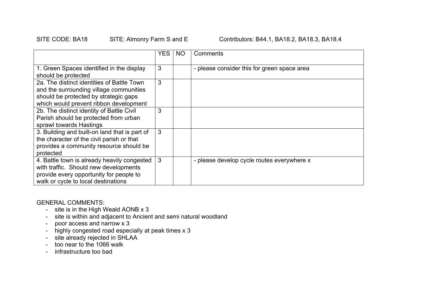|                                                                                                                                                                          | <b>YES</b> | NO | Comments                                    |
|--------------------------------------------------------------------------------------------------------------------------------------------------------------------------|------------|----|---------------------------------------------|
| 1. Green Spaces identified in the display<br>should be protected                                                                                                         | 3          |    | - please consider this for green space area |
| 2a. The distinct identities of Battle Town<br>and the surrounding village communities<br>should be protected by strategic gaps<br>which would prevent ribbon development | 3          |    |                                             |
| 2b. The distinct identity of Battle Civil<br>Parish should be protected from urban<br>sprawl towards Hastings                                                            | 3          |    |                                             |
| 3. Building and built-on land that is part of<br>the character of the civil parish or that<br>provides a community resource should be<br>protected                       | 3          |    |                                             |
| 4. Battle town is already heavily congested<br>with traffic. Should new developments<br>provide every opportunity for people to<br>walk or cycle to local destinations   | 3          |    | - please develop cycle routes everywhere x  |

- site is in the High Weald AONB x 3
- site is within and adjacent to Ancient and semi natural woodland
- poor access and narrow x 3
- highly congested road especially at peak times x 3
- site already rejected in SHLAA
- too near to the 1066 walk
- infrastructure too bad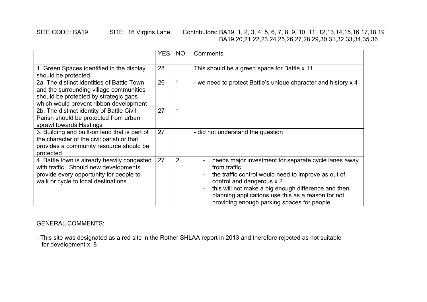### SITE CODE: BA19 SITE: 16 Virgins Lane Contributors: BA19, 1, 2, 3, 4, 5, 6, 7, 8, 9, 10, 11, 12,13,14,15,16,17,18,19 BA19.20,21,22,23,24,25,26,27,28,29,30,31,32,33,34,35,36

|                                                                                                                                                                          | <b>YES</b> | NO.            | Comments                                                                                                                                                                                                                                                                                                            |
|--------------------------------------------------------------------------------------------------------------------------------------------------------------------------|------------|----------------|---------------------------------------------------------------------------------------------------------------------------------------------------------------------------------------------------------------------------------------------------------------------------------------------------------------------|
| 1. Green Spaces identified in the display<br>should be protected                                                                                                         | 28         |                | This should be a green space for Battle x 11                                                                                                                                                                                                                                                                        |
| 2a. The distinct identities of Battle Town<br>and the surrounding village communities<br>should be protected by strategic gaps<br>which would prevent ribbon development | 26         |                | - we need to protect Battle's unique character and history x 4                                                                                                                                                                                                                                                      |
| 2b. The distinct identity of Battle Civil<br>Parish should be protected from urban<br>sprawl towards Hastings                                                            | 27         |                |                                                                                                                                                                                                                                                                                                                     |
| 3. Building and built-on land that is part of<br>the character of the civil parish or that<br>provides a community resource should be<br>protected                       | 27         |                | - did not understand the question                                                                                                                                                                                                                                                                                   |
| 4. Battle town is already heavily congested<br>with traffic. Should new developments<br>provide every opportunity for people to<br>walk or cycle to local destinations   | 27         | $\overline{2}$ | needs major investment for separate cycle lanes away<br>from traffic<br>the traffic control would need to improve as out of<br>control and dangerous x 2<br>this will not make a big enough difference and then<br>planning applications use this as a reason for not<br>providing enough parking spaces for people |

GENERAL COMMENTS:

- This site was designated as a red site in the Rother SHLAA report in 2013 and therefore rejected as not suitable for development x 8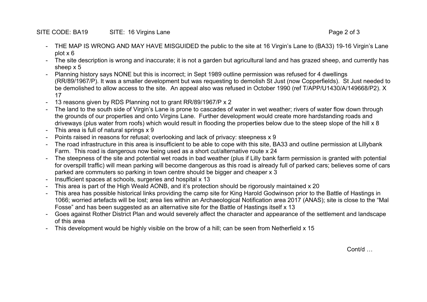### SITE CODE: BA19 SITE: 16 Virgins Lane Page 2 of 3

- THE MAP IS WRONG AND MAY HAVE MISGUIDED the public to the site at 16 Virgin's Lane to (BA33) 19-16 Virgin's Lane plot x 6
- The site description is wrong and inaccurate; it is not a garden but agricultural land and has grazed sheep, and currently has sheep x 5
- Planning history says NONE but this is incorrect; in Sept 1989 outline permission was refused for 4 dwellings (RR/89/1967/P). It was a smaller development but was requesting to demolish St Just (now Copperfields). St Just needed to be demolished to allow access to the site. An appeal also was refused in October 1990 (ref T/APP/U1430/A/149668/P2). X 17
- 13 reasons given by RDS Planning not to grant RR/89/1967/P x 2
- The land to the south side of Virgin's Lane is prone to cascades of water in wet weather; rivers of water flow down through the grounds of our properties and onto Virgins Lane. Further development would create more hardstanding roads and driveways (plus water from roofs) which would result in flooding the properties below due to the steep slope of the hill x 8
- This area is full of natural springs x 9
- Points raised in reasons for refusal; overlooking and lack of privacy: steepness x 9
- The road infrastructure in this area is insufficient to be able to cope with this site, BA33 and outline permission at Lillybank Farm. This road is dangerous now being used as a short cut/alternative route x 24
- The steepness of the site and potential wet roads in bad weather (plus if Lilly bank farm permission is granted with potential for overspill traffic) will mean parking will become dangerous as this road is already full of parked cars; believes some of cars parked are commuters so parking in town centre should be bigger and cheaper x 3
- Insufficient spaces at schools, surgeries and hospital x 13
- This area is part of the High Weald AONB, and it's protection should be rigorously maintained x 20
- This area has possible historical links providing the camp site for King Harold Godwinson prior to the Battle of Hastings in 1066; worried artefacts will be lost; area lies within an Archaeological Notification area 2017 (ANAS); site is close to the "Mal Fosse" and has been suggested as an alternative site for the Battle of Hastings itself x 13
- Goes against Rother District Plan and would severely affect the character and appearance of the settlement and landscape of this area
- This development would be highly visible on the brow of a hill; can be seen from Netherfield x 15

Cont/d …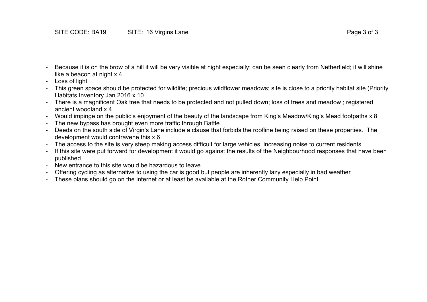- Because it is on the brow of a hill it will be very visible at night especially; can be seen clearly from Netherfield; it will shine like a beacon at night x 4
- Loss of light
- This green space should be protected for wildlife; precious wildflower meadows; site is close to a priority habitat site (Priority Habitats Inventory Jan 2016 x 10
- There is a magnificent Oak tree that needs to be protected and not pulled down; loss of trees and meadow ; registered ancient woodland x 4
- Would impinge on the public's enjoyment of the beauty of the landscape from King's Meadow/King's Mead footpaths x 8
- The new bypass has brought even more traffic through Battle
- Deeds on the south side of Virgin's Lane include a clause that forbids the roofline being raised on these properties. The development would contravene this x 6
- The access to the site is very steep making access difficult for large vehicles, increasing noise to current residents
- If this site were put forward for development it would go against the results of the Neighbourhood responses that have been published
- New entrance to this site would be hazardous to leave
- Offering cycling as alternative to using the car is good but people are inherently lazy especially in bad weather
- These plans should go on the internet or at least be available at the Rother Community Help Point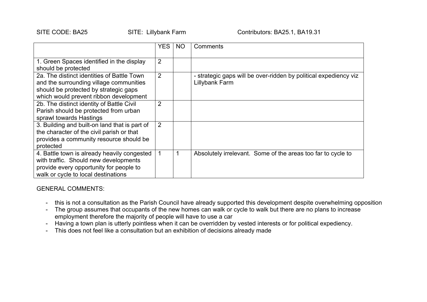|                                                                                                                                                                          | <b>YES</b>     | NO | Comments                                                                           |
|--------------------------------------------------------------------------------------------------------------------------------------------------------------------------|----------------|----|------------------------------------------------------------------------------------|
| 1. Green Spaces identified in the display<br>should be protected                                                                                                         | $\overline{2}$ |    |                                                                                    |
| 2a. The distinct identities of Battle Town<br>and the surrounding village communities<br>should be protected by strategic gaps<br>which would prevent ribbon development | 2              |    | - strategic gaps will be over-ridden by political expediency viz<br>Lillybank Farm |
| 2b. The distinct identity of Battle Civil<br>Parish should be protected from urban<br>sprawl towards Hastings                                                            | 2              |    |                                                                                    |
| 3. Building and built-on land that is part of<br>the character of the civil parish or that<br>provides a community resource should be<br>protected                       | 2              |    |                                                                                    |
| 4. Battle town is already heavily congested<br>with traffic. Should new developments<br>provide every opportunity for people to<br>walk or cycle to local destinations   |                |    | Absolutely irrelevant. Some of the areas too far to cycle to                       |

- this is not a consultation as the Parish Council have already supported this development despite overwhelming opposition
- The group assumes that occupants of the new homes can walk or cycle to walk but there are no plans to increase employment therefore the majority of people will have to use a car
- Having a town plan is utterly pointless when it can be overridden by vested interests or for political expediency.
- This does not feel like a consultation but an exhibition of decisions already made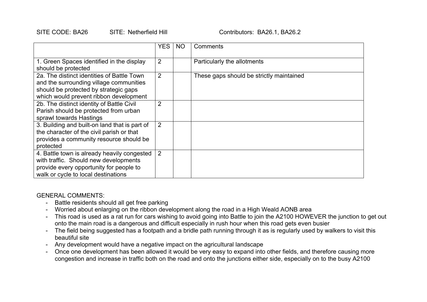SITE CODE: BA26 SITE: Netherfield Hill Contributors: BA26.1, BA26.2

|                                                                                                                                                                          | <b>YES</b>     | <b>NO</b> | Comments                                 |
|--------------------------------------------------------------------------------------------------------------------------------------------------------------------------|----------------|-----------|------------------------------------------|
| 1. Green Spaces identified in the display<br>should be protected                                                                                                         | $\overline{2}$ |           | Particularly the allotments              |
| 2a. The distinct identities of Battle Town<br>and the surrounding village communities<br>should be protected by strategic gaps<br>which would prevent ribbon development | $\overline{2}$ |           | These gaps should be strictly maintained |
| 2b. The distinct identity of Battle Civil<br>Parish should be protected from urban<br>sprawl towards Hastings                                                            | $\overline{2}$ |           |                                          |
| 3. Building and built-on land that is part of<br>the character of the civil parish or that<br>provides a community resource should be<br>protected                       | $\overline{2}$ |           |                                          |
| 4. Battle town is already heavily congested<br>with traffic. Should new developments<br>provide every opportunity for people to<br>walk or cycle to local destinations   | 2              |           |                                          |

- Battle residents should all get free parking
- Worried about enlarging on the ribbon development along the road in a High Weald AONB area
- This road is used as a rat run for cars wishing to avoid going into Battle to join the A2100 HOWEVER the junction to get out onto the main road is a dangerous and difficult especially in rush hour when this road gets even busier
- The field being suggested has a footpath and a bridle path running through it as is regularly used by walkers to visit this beautiful site
- Any development would have a negative impact on the agricultural landscape
- Once one development has been allowed it would be very easy to expand into other fields, and therefore causing more congestion and increase in traffic both on the road and onto the junctions either side, especially on to the busy A2100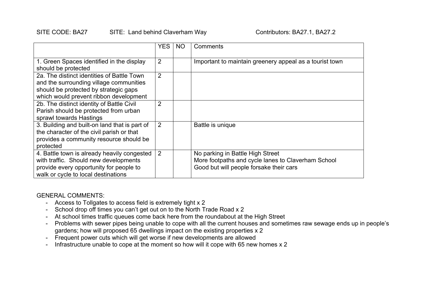#### SITE CODE: BA27 SITE: Land behind Claverham Way Contributors: BA27.1, BA27.2

|                                                                                                                                                                          | <b>YES</b>     | ΝO | Comments                                                                                                                          |
|--------------------------------------------------------------------------------------------------------------------------------------------------------------------------|----------------|----|-----------------------------------------------------------------------------------------------------------------------------------|
| 1. Green Spaces identified in the display<br>should be protected                                                                                                         | $\overline{2}$ |    | Important to maintain greenery appeal as a tourist town                                                                           |
| 2a. The distinct identities of Battle Town<br>and the surrounding village communities<br>should be protected by strategic gaps<br>which would prevent ribbon development | $\overline{2}$ |    |                                                                                                                                   |
| 2b. The distinct identity of Battle Civil<br>Parish should be protected from urban<br>sprawl towards Hastings                                                            | $\overline{2}$ |    |                                                                                                                                   |
| 3. Building and built-on land that is part of<br>the character of the civil parish or that<br>provides a community resource should be<br>protected                       | 2              |    | Battle is unique                                                                                                                  |
| 4. Battle town is already heavily congested<br>with traffic. Should new developments<br>provide every opportunity for people to<br>walk or cycle to local destinations   | $\overline{2}$ |    | No parking in Battle High Street<br>More footpaths and cycle lanes to Claverham School<br>Good but will people forsake their cars |

- Access to Tollgates to access field is extremely tight x 2
- School drop off times you can't get out on to the North Trade Road x 2
- At school times traffic queues come back here from the roundabout at the High Street
- Problems with sewer pipes being unable to cope with all the current houses and sometimes raw sewage ends up in people's gardens; how will proposed 65 dwellings impact on the existing properties x 2
- Frequent power cuts which will get worse if new developments are allowed
- Infrastructure unable to cope at the moment so how will it cope with 65 new homes x 2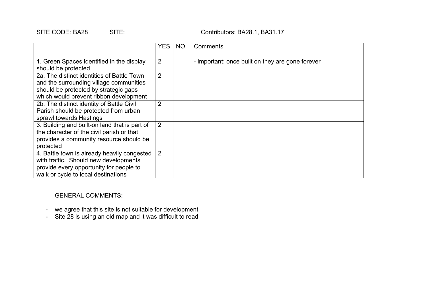SITE CODE: BA28 SITE: CODE: Contributors: BA28.1, BA31.17

|                                                                                                                                                                          | <b>YES</b>     | <b>NO</b> | Comments                                         |
|--------------------------------------------------------------------------------------------------------------------------------------------------------------------------|----------------|-----------|--------------------------------------------------|
| 1. Green Spaces identified in the display<br>should be protected                                                                                                         | $\overline{2}$ |           | - important; once built on they are gone forever |
| 2a. The distinct identities of Battle Town<br>and the surrounding village communities<br>should be protected by strategic gaps<br>which would prevent ribbon development | $\overline{2}$ |           |                                                  |
| 2b. The distinct identity of Battle Civil<br>Parish should be protected from urban<br>sprawl towards Hastings                                                            | $\overline{2}$ |           |                                                  |
| 3. Building and built-on land that is part of<br>the character of the civil parish or that<br>provides a community resource should be<br>protected                       | 2              |           |                                                  |
| 4. Battle town is already heavily congested<br>with traffic. Should new developments<br>provide every opportunity for people to<br>walk or cycle to local destinations   | 2              |           |                                                  |

- we agree that this site is not suitable for development
- Site 28 is using an old map and it was difficult to read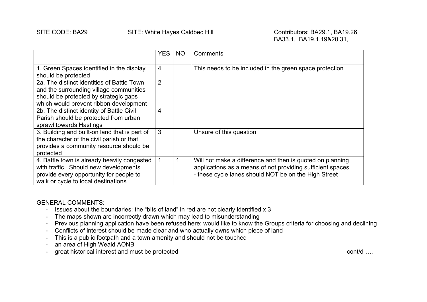|                                                                                                                                                                          | <b>YES</b>     | <b>NO</b> | Comments                                                                                                                                                                        |
|--------------------------------------------------------------------------------------------------------------------------------------------------------------------------|----------------|-----------|---------------------------------------------------------------------------------------------------------------------------------------------------------------------------------|
| 1. Green Spaces identified in the display<br>should be protected                                                                                                         | 4              |           | This needs to be included in the green space protection                                                                                                                         |
| 2a. The distinct identities of Battle Town<br>and the surrounding village communities<br>should be protected by strategic gaps<br>which would prevent ribbon development | 2              |           |                                                                                                                                                                                 |
| 2b. The distinct identity of Battle Civil<br>Parish should be protected from urban<br>sprawl towards Hastings                                                            | $\overline{4}$ |           |                                                                                                                                                                                 |
| 3. Building and built-on land that is part of<br>the character of the civil parish or that<br>provides a community resource should be<br>protected                       | 3              |           | Unsure of this question                                                                                                                                                         |
| 4. Battle town is already heavily congested<br>with traffic. Should new developments<br>provide every opportunity for people to<br>walk or cycle to local destinations   |                |           | Will not make a difference and then is quoted on planning<br>applications as a means of not providing sufficient spaces<br>- these cycle lanes should NOT be on the High Street |

- Issues about the boundaries; the "bits of land" in red are not clearly identified x 3
- The maps shown are incorrectly drawn which may lead to misunderstanding
- Previous planning application have been refused here; would like to know the Groups criteria for choosing and declining
- Conflicts of interest should be made clear and who actually owns which piece of land
- This is a public footpath and a town amenity and should not be touched
- an area of High Weald AONB
- great historical interest and must be protected contains a series of the containing contains a contain contain containing containing containing containing containing containing containing containing containing containing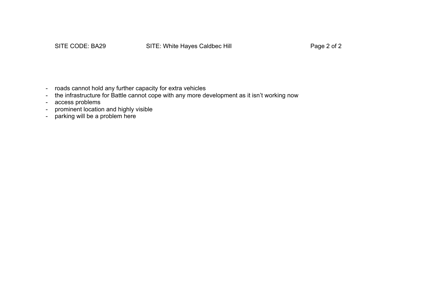- roads cannot hold any further capacity for extra vehicles
- the infrastructure for Battle cannot cope with any more development as it isn't working now
- access problems
- prominent location and highly visible
- parking will be a problem here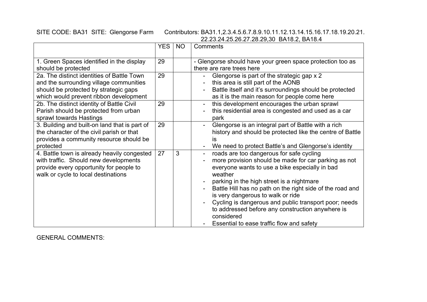SITE CODE: BA31 SITE: Glengorse Farm Contributors: BA31.1,2.3.4.5.6.7.8.9.10.11.12.13.14.15.16.17.18.19.20.21.

|                                                                                                                                                                          |            |     | 22.23.24.25.26.27.28.29,30 BA18.2, BA18.4                                                                                                                                                                                                                                                                                                                                                                                                                                            |
|--------------------------------------------------------------------------------------------------------------------------------------------------------------------------|------------|-----|--------------------------------------------------------------------------------------------------------------------------------------------------------------------------------------------------------------------------------------------------------------------------------------------------------------------------------------------------------------------------------------------------------------------------------------------------------------------------------------|
|                                                                                                                                                                          | <b>YES</b> | NO. | Comments                                                                                                                                                                                                                                                                                                                                                                                                                                                                             |
| 1. Green Spaces identified in the display<br>should be protected                                                                                                         | 29         |     | - Glengorse should have your green space protection too as<br>there are rare trees here                                                                                                                                                                                                                                                                                                                                                                                              |
| 2a. The distinct identities of Battle Town<br>and the surrounding village communities<br>should be protected by strategic gaps<br>which would prevent ribbon development | 29         |     | Glengorse is part of the strategic gap x 2<br>this area is still part of the AONB<br>Battle itself and it's surroundings should be protected<br>as it is the main reason for people come here                                                                                                                                                                                                                                                                                        |
| 2b. The distinct identity of Battle Civil<br>Parish should be protected from urban<br>sprawl towards Hastings                                                            | 29         |     | this development encourages the urban sprawl<br>$\overline{a}$<br>this residential area is congested and used as a car<br>park                                                                                                                                                                                                                                                                                                                                                       |
| 3. Building and built-on land that is part of<br>the character of the civil parish or that<br>provides a community resource should be<br>protected                       | 29         |     | Glengorse is an integral part of Battle with a rich<br>history and should be protected like the centre of Battle<br><b>is</b><br>We need to protect Battle's and Glengorse's identity<br>$\qquad \qquad \blacksquare$                                                                                                                                                                                                                                                                |
| 4. Battle town is already heavily congested<br>with traffic. Should new developments<br>provide every opportunity for people to<br>walk or cycle to local destinations   | 27         | 3   | roads are too dangerous for safe cycling<br>more provision should be made for car parking as not<br>everyone wants to use a bike especially in bad<br>weather<br>parking in the high street is a nightmare<br>Battle Hill has no path on the right side of the road and<br>is very dangerous to walk or ride<br>Cycling is dangerous and public transport poor; needs<br>to addressed before any construction anywhere is<br>considered<br>Essential to ease traffic flow and safety |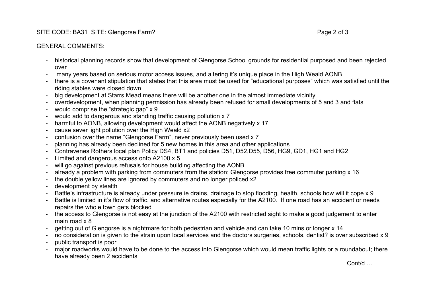### SITE CODE: BA31 SITE: Glengorse Farm? Page 2 of 3

### GENERAL COMMENTS:

- historical planning records show that development of Glengorse School grounds for residential purposed and been rejected over
- many years based on serious motor access issues, and altering it's unique place in the High Weald AONB
- there is a covenant stipulation that states that this area must be used for "educational purposes" which was satisfied until the riding stables were closed down
- big development at Starrs Mead means there will be another one in the almost immediate vicinity
- overdevelopment, when planning permission has already been refused for small developments of 5 and 3 and flats
- would comprise the "strategic gap" x 9
- would add to dangerous and standing traffic causing pollution x 7
- harmful to AONB, allowing development would affect the AONB negatively x 17
- cause sever light pollution over the High Weald x2
- confusion over the name "Glengorse Farm", never previously been used x 7
- planning has already been declined for 5 new homes in this area and other applications
- Contravenes Rothers local plan Policy DS4, BT1 and policies D51, D52,D55, D56, HG9, GD1, HG1 and HG2
- Limited and dangerous access onto A2100 x 5
- will go against previous refusals for house building affecting the AONB
- already a problem with parking from commuters from the station: Glengorse provides free commuter parking x 16
- the double yellow lines are ignored by commuters and no longer policed x2
- development by stealth
- Battle's infrastructure is already under pressure ie drains, drainage to stop flooding, health, schools how will it cope x 9
- Battle is limited in it's flow of traffic, and alternative routes especially for the A2100. If one road has an accident or needs repairs the whole town gets blocked
- the access to Glengorse is not easy at the junction of the A2100 with restricted sight to make a good judgement to enter main road x 8
- getting out of Glengorse is a nightmare for both pedestrian and vehicle and can take 10 mins or longer x 14
- no consideration is given to the strain upon local services and the doctors surgeries, schools, dentist? is over subscribed x 9
- public transport is poor
- major roadworks would have to be done to the access into Glengorse which would mean traffic lights or a roundabout; there have already been 2 accidents

Cont/d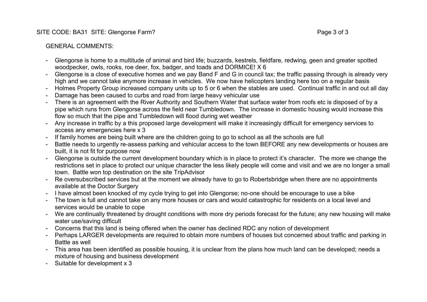### SITE CODE: BA31 SITE: Glengorse Farm? Page 3 of 3

- Glengorse is home to a multitude of animal and bird life; buzzards, kestrels, fieldfare, redwing, geen and greater spotted woodpecker, owls, rooks, roe deer, fox, badger, and toads and DORMICE! X 6
- Glengorse is a close of executive homes and we pay Band F and G in council tax; the traffic passing through is already very high and we cannot take anymore increase in vehicles. We now have helicopters landing here too on a regular basis
- Holmes Property Group increased company units up to 5 or 6 when the stables are used. Continual traffic in and out all day
- Damage has been caused to curbs and road from large heavy vehicular use
- There is an agreement with the River Authority and Southern Water that surface water from roofs etc is disposed of by a pipe which runs from Glengorse across the field near Tumbledown. The increase in domestic housing would increase this flow so much that the pipe and Tumbledown will flood during wet weather
- Any increase in traffic by a this proposed large development will make it increasingly difficult for emergency services to access any emergencies here x 3
- If family homes are being built where are the children going to go to school as all the schools are full
- Battle needs to urgently re-assess parking and vehicular access to the town BEFORE any new developments or houses are built, it is not fit for purpose now
- Glengorse is outside the current development boundary which is in place to protect it's character. The more we change the restrictions set in place to protect our unique character the less likely people will come and visit and we are no longer a small town. Battle won top destination on the site TripAdvisor
- Re oversubscribed services but at the moment we already have to go to Robertsbridge when there are no appointments available at the Doctor Surgery
- I have almost been knocked of my cycle trying to get into Glengorse; no-one should be encourage to use a bike
- The town is full and cannot take on any more houses or cars and would catastrophic for residents on a local level and services would be unable to cope
- We are continually threatened by drought conditions with more dry periods forecast for the future; any new housing will make water use/saving difficult
- Concerns that this land is being offered when the owner has declined RDC any notion of development
- Perhaps LARGER developments are required to obtain more numbers of houses but concerned about traffic and parking in Battle as well
- This area has been identified as possible housing, it is unclear from the plans how much land can be developed; needs a mixture of housing and business development
- Suitable for development x 3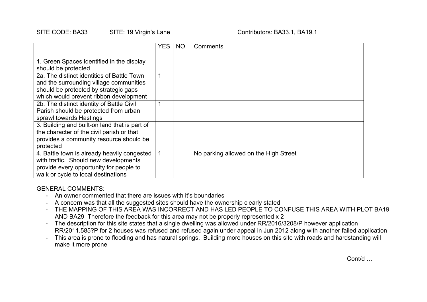#### SITE CODE: BA33 SITE: 19 Virgin's Lane Contributors: BA33.1, BA19.1

|                                               | <b>YES</b> | <b>NO</b> | Comments                              |
|-----------------------------------------------|------------|-----------|---------------------------------------|
| 1. Green Spaces identified in the display     |            |           |                                       |
| should be protected                           |            |           |                                       |
| 2a. The distinct identities of Battle Town    |            |           |                                       |
| and the surrounding village communities       |            |           |                                       |
| should be protected by strategic gaps         |            |           |                                       |
| which would prevent ribbon development        |            |           |                                       |
| 2b. The distinct identity of Battle Civil     |            |           |                                       |
| Parish should be protected from urban         |            |           |                                       |
| sprawl towards Hastings                       |            |           |                                       |
| 3. Building and built-on land that is part of |            |           |                                       |
| the character of the civil parish or that     |            |           |                                       |
| provides a community resource should be       |            |           |                                       |
| protected                                     |            |           |                                       |
| 4. Battle town is already heavily congested   |            |           | No parking allowed on the High Street |
| with traffic. Should new developments         |            |           |                                       |
| provide every opportunity for people to       |            |           |                                       |
| walk or cycle to local destinations           |            |           |                                       |

GENERAL COMMENTS:

- An owner commented that there are issues with it's boundaries
- A concern was that all the suggested sites should have the ownership clearly stated
- THE MAPPING OF THIS AREA WAS INCORRECT AND HAS LED PEOPLE TO CONFUSE THIS AREA WITH PLOT BA19 AND BA29 Therefore the feedback for this area may not be properly represented x 2
- The description for this site states that a single dwelling was allowed under RR/2016/3208/P however application RR/2011.585?P for 2 houses was refused and refused again under appeal in Jun 2012 along with another failed application
- This area is prone to flooding and has natural springs. Building more houses on this site with roads and hardstanding will make it more prone

Cont/d …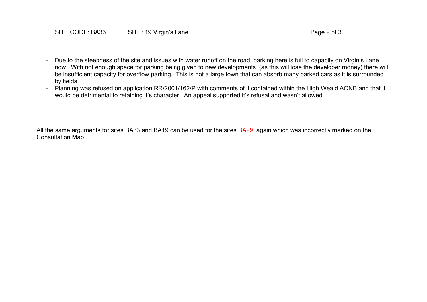- Due to the steepness of the site and issues with water runoff on the road, parking here is full to capacity on Virgin's Lane now. With not enough space for parking being given to new developments (as this will lose the developer money) there will be insufficient capacity for overflow parking. This is not a large town that can absorb many parked cars as it is surrounded by fields
- Planning was refused on application RR/2001/162/P with comments of it contained within the High Weald AONB and that it would be detrimental to retaining it's character. An appeal supported it's refusal and wasn't allowed

All the same arguments for sites BA33 and BA19 can be used for the sites BA29, again which was incorrectly marked on the Consultation Map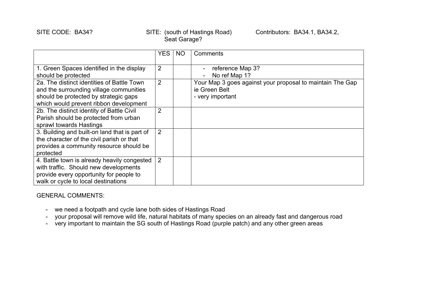### SITE CODE: BA34? SITE: (south of Hastings Road) Contributors: BA34.1, BA34.2, Seat Garage?

|                                               | <b>YES</b>     | NO. | Comments                                                  |
|-----------------------------------------------|----------------|-----|-----------------------------------------------------------|
|                                               |                |     |                                                           |
| 1. Green Spaces identified in the display     | $\overline{2}$ |     | reference Map 3?                                          |
| should be protected                           |                |     | No ref Map 1?                                             |
| 2a. The distinct identities of Battle Town    | $\overline{2}$ |     | Your Map 3 goes against your proposal to maintain The Gap |
| and the surrounding village communities       |                |     | ie Green Belt                                             |
| should be protected by strategic gaps         |                |     | - very important                                          |
| which would prevent ribbon development        |                |     |                                                           |
| 2b. The distinct identity of Battle Civil     | $\overline{2}$ |     |                                                           |
| Parish should be protected from urban         |                |     |                                                           |
| sprawl towards Hastings                       |                |     |                                                           |
| 3. Building and built-on land that is part of | $\overline{2}$ |     |                                                           |
| the character of the civil parish or that     |                |     |                                                           |
| provides a community resource should be       |                |     |                                                           |
| protected                                     |                |     |                                                           |
| 4. Battle town is already heavily congested   | 2              |     |                                                           |
| with traffic. Should new developments         |                |     |                                                           |
| provide every opportunity for people to       |                |     |                                                           |
| walk or cycle to local destinations           |                |     |                                                           |

- we need a footpath and cycle lane both sides of Hastings Road
- your proposal will remove wild life, natural habitats of many species on an already fast and dangerous road
- very important to maintain the SG south of Hastings Road (purple patch) and any other green areas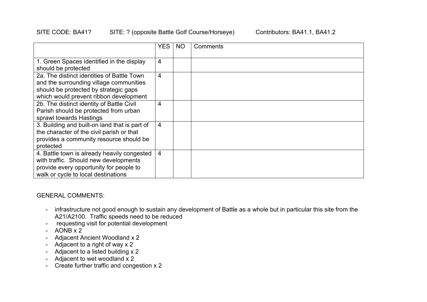#### SITE CODE: BA41? SITE: ? (opposite Battle Golf Course/Horseye) Contributors: BA41.1, BA41.2

|                                               | <b>YES</b>     | <b>NO</b> | Comments |
|-----------------------------------------------|----------------|-----------|----------|
|                                               |                |           |          |
| 1. Green Spaces identified in the display     | 4              |           |          |
| should be protected                           |                |           |          |
| 2a. The distinct identities of Battle Town    | $\overline{4}$ |           |          |
| and the surrounding village communities       |                |           |          |
| should be protected by strategic gaps         |                |           |          |
| which would prevent ribbon development        |                |           |          |
| 2b. The distinct identity of Battle Civil     | $\overline{4}$ |           |          |
| Parish should be protected from urban         |                |           |          |
| sprawl towards Hastings                       |                |           |          |
| 3. Building and built-on land that is part of | $\overline{4}$ |           |          |
| the character of the civil parish or that     |                |           |          |
| provides a community resource should be       |                |           |          |
| protected                                     |                |           |          |
| 4. Battle town is already heavily congested   | $\overline{4}$ |           |          |
| with traffic. Should new developments         |                |           |          |
| provide every opportunity for people to       |                |           |          |
| walk or cycle to local destinations           |                |           |          |

- infrastructure not good enough to sustain any development of Battle as a whole but in particular this site from the A21/A2100. Traffic speeds need to be reduced
- requesting visit for potential development
- $AONB x 2$
- Adjacent Ancient Woodland x 2
- Adjacent to a right of way x 2
- Adjacent to a listed building x 2
- Adjacent to wet woodland x 2
- Create further traffic and congestion x 2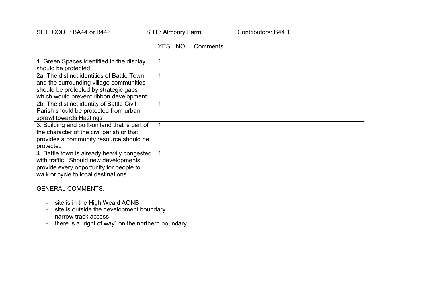SITE CODE: BA44 or B44? SITE: Almonry Farm Contributors: B44.1

|                                               | <b>YES</b>  | N <sub>O</sub> | Comments |
|-----------------------------------------------|-------------|----------------|----------|
|                                               |             |                |          |
| 1. Green Spaces identified in the display     | 1           |                |          |
| should be protected                           |             |                |          |
| 2a. The distinct identities of Battle Town    | 1           |                |          |
| and the surrounding village communities       |             |                |          |
| should be protected by strategic gaps         |             |                |          |
| which would prevent ribbon development        |             |                |          |
| 2b. The distinct identity of Battle Civil     | 1           |                |          |
| Parish should be protected from urban         |             |                |          |
| sprawl towards Hastings                       |             |                |          |
| 3. Building and built-on land that is part of | $\mathbf 1$ |                |          |
| the character of the civil parish or that     |             |                |          |
| provides a community resource should be       |             |                |          |
| protected                                     |             |                |          |
| 4. Battle town is already heavily congested   | 1           |                |          |
| with traffic. Should new developments         |             |                |          |
| provide every opportunity for people to       |             |                |          |
| walk or cycle to local destinations           |             |                |          |

- site is in the High Weald AONB
- site is outside the development boundary
- narrow track access
- there is a "right of way" on the northern boundary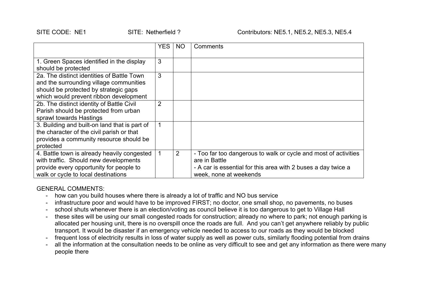|                                                                                                                                                                          | YES. | NO | Comments                                                                                                                                                                    |
|--------------------------------------------------------------------------------------------------------------------------------------------------------------------------|------|----|-----------------------------------------------------------------------------------------------------------------------------------------------------------------------------|
| 1. Green Spaces identified in the display<br>should be protected                                                                                                         | 3    |    |                                                                                                                                                                             |
| 2a. The distinct identities of Battle Town<br>and the surrounding village communities<br>should be protected by strategic gaps<br>which would prevent ribbon development | 3    |    |                                                                                                                                                                             |
| 2b. The distinct identity of Battle Civil<br>Parish should be protected from urban<br>sprawl towards Hastings                                                            | 2    |    |                                                                                                                                                                             |
| 3. Building and built-on land that is part of<br>the character of the civil parish or that<br>provides a community resource should be<br>protected                       |      |    |                                                                                                                                                                             |
| 4. Battle town is already heavily congested<br>with traffic. Should new developments<br>provide every opportunity for people to<br>walk or cycle to local destinations   |      | 2  | - Too far too dangerous to walk or cycle and most of activities<br>are in Battle<br>- A car is essential for this area with 2 buses a day twice a<br>week, none at weekends |

- how can you build houses where there is already a lot of traffic and NO bus service
- infrastructure poor and would have to be improved FIRST; no doctor, one small shop, no pavements, no buses
- school shuts whenever there is an election/voting as council believe it is too dangerous to get to Village Hall
- these sites will be using our small congested roads for construction; already no where to park; not enough parking is allocated per housing unit, there is no overspill once the roads are full. And you can't get anywhere reliably by public transport. It would be disaster if an emergency vehicle needed to access to our roads as they would be blocked
- frequent loss of electricity results in loss of water supply as well as power cuts, similarly flooding potential from drains
- all the information at the consultation needs to be online as very difficult to see and get any information as there were many people there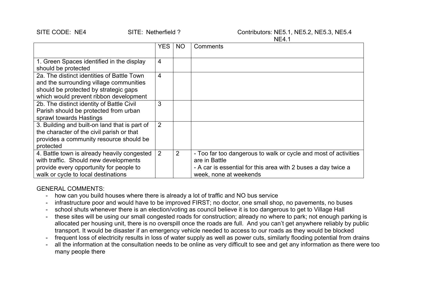NE4.1

|                                                                                                                                                                          | <b>YES</b>     | NO. | Comments                                                                                                                                                                    |
|--------------------------------------------------------------------------------------------------------------------------------------------------------------------------|----------------|-----|-----------------------------------------------------------------------------------------------------------------------------------------------------------------------------|
| 1. Green Spaces identified in the display<br>should be protected                                                                                                         | 4              |     |                                                                                                                                                                             |
| 2a. The distinct identities of Battle Town<br>and the surrounding village communities<br>should be protected by strategic gaps<br>which would prevent ribbon development | $\overline{4}$ |     |                                                                                                                                                                             |
| 2b. The distinct identity of Battle Civil<br>Parish should be protected from urban<br>sprawl towards Hastings                                                            | 3              |     |                                                                                                                                                                             |
| 3. Building and built-on land that is part of<br>the character of the civil parish or that<br>provides a community resource should be<br>protected                       | 2              |     |                                                                                                                                                                             |
| 4. Battle town is already heavily congested<br>with traffic. Should new developments<br>provide every opportunity for people to<br>walk or cycle to local destinations   | 2              | 2   | - Too far too dangerous to walk or cycle and most of activities<br>are in Battle<br>- A car is essential for this area with 2 buses a day twice a<br>week, none at weekends |

- how can you build houses where there is already a lot of traffic and NO bus service
- infrastructure poor and would have to be improved FIRST; no doctor, one small shop, no pavements, no buses
- school shuts whenever there is an election/voting as council believe it is too dangerous to get to Village Hall
- these sites will be using our small congested roads for construction; already no where to park; not enough parking is allocated per housing unit, there is no overspill once the roads are full. And you can't get anywhere reliably by public transport. It would be disaster if an emergency vehicle needed to access to our roads as they would be blocked
- frequent loss of electricity results in loss of water supply as well as power cuts, similarly flooding potential from drains
- all the information at the consultation needs to be online as very difficult to see and get any information as there were too many people there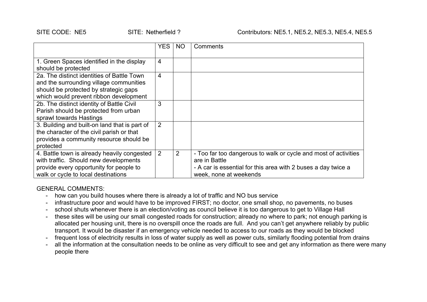|                                                                                                                                                                          | <b>YES</b>     | NO. | Comments                                                                                                                                                                    |
|--------------------------------------------------------------------------------------------------------------------------------------------------------------------------|----------------|-----|-----------------------------------------------------------------------------------------------------------------------------------------------------------------------------|
| 1. Green Spaces identified in the display<br>should be protected                                                                                                         | 4              |     |                                                                                                                                                                             |
| 2a. The distinct identities of Battle Town<br>and the surrounding village communities<br>should be protected by strategic gaps<br>which would prevent ribbon development | $\overline{4}$ |     |                                                                                                                                                                             |
| 2b. The distinct identity of Battle Civil<br>Parish should be protected from urban<br>sprawl towards Hastings                                                            | 3              |     |                                                                                                                                                                             |
| 3. Building and built-on land that is part of<br>the character of the civil parish or that<br>provides a community resource should be<br>protected                       | 2              |     |                                                                                                                                                                             |
| 4. Battle town is already heavily congested<br>with traffic. Should new developments<br>provide every opportunity for people to<br>walk or cycle to local destinations   | 2              | 2   | - Too far too dangerous to walk or cycle and most of activities<br>are in Battle<br>- A car is essential for this area with 2 buses a day twice a<br>week, none at weekends |

- how can you build houses where there is already a lot of traffic and NO bus service
- infrastructure poor and would have to be improved FIRST; no doctor, one small shop, no pavements, no buses
- school shuts whenever there is an election/voting as council believe it is too dangerous to get to Village Hall
- these sites will be using our small congested roads for construction; already no where to park; not enough parking is allocated per housing unit, there is no overspill once the roads are full. And you can't get anywhere reliably by public transport. It would be disaster if an emergency vehicle needed to access to our roads as they would be blocked
- frequent loss of electricity results in loss of water supply as well as power cuts, similarly flooding potential from drains
- all the information at the consultation needs to be online as very difficult to see and get any information as there were many people there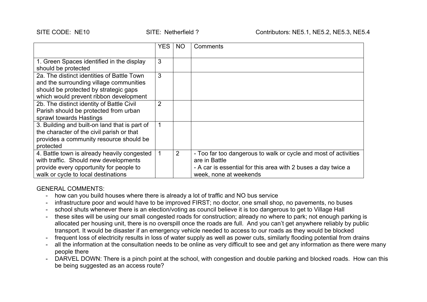|                                                                                                                                                                          | <b>YES</b>     | NO.            | Comments                                                                                                                                                                    |
|--------------------------------------------------------------------------------------------------------------------------------------------------------------------------|----------------|----------------|-----------------------------------------------------------------------------------------------------------------------------------------------------------------------------|
| 1. Green Spaces identified in the display<br>should be protected                                                                                                         | 3              |                |                                                                                                                                                                             |
| 2a. The distinct identities of Battle Town<br>and the surrounding village communities<br>should be protected by strategic gaps<br>which would prevent ribbon development | 3              |                |                                                                                                                                                                             |
| 2b. The distinct identity of Battle Civil<br>Parish should be protected from urban<br>sprawl towards Hastings                                                            | $\overline{2}$ |                |                                                                                                                                                                             |
| 3. Building and built-on land that is part of<br>the character of the civil parish or that<br>provides a community resource should be<br>protected                       |                |                |                                                                                                                                                                             |
| 4. Battle town is already heavily congested<br>with traffic. Should new developments<br>provide every opportunity for people to<br>walk or cycle to local destinations   |                | $\overline{2}$ | - Too far too dangerous to walk or cycle and most of activities<br>are in Battle<br>- A car is essential for this area with 2 buses a day twice a<br>week, none at weekends |

- how can you build houses where there is already a lot of traffic and NO bus service
- infrastructure poor and would have to be improved FIRST; no doctor, one small shop, no pavements, no buses
- school shuts whenever there is an election/voting as council believe it is too dangerous to get to Village Hall
- these sites will be using our small congested roads for construction; already no where to park; not enough parking is allocated per housing unit, there is no overspill once the roads are full. And you can't get anywhere reliably by public transport. It would be disaster if an emergency vehicle needed to access to our roads as they would be blocked
- frequent loss of electricity results in loss of water supply as well as power cuts, similarly flooding potential from drains
- all the information at the consultation needs to be online as very difficult to see and get any information as there were many people there
- DARVEL DOWN: There is a pinch point at the school, with congestion and double parking and blocked roads. How can this be being suggested as an access route?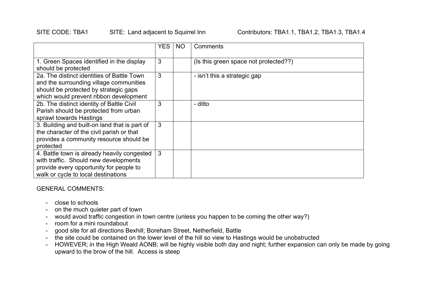### SITE CODE: TBA1 SITE: Land adjacent to Squirrel Inn Contributors: TBA1.1, TBA1.2, TBA1.3, TBA1.4

|                                                                                                                                                                          | <b>YES</b> | N <sub>O</sub> | Comments                              |
|--------------------------------------------------------------------------------------------------------------------------------------------------------------------------|------------|----------------|---------------------------------------|
| 1. Green Spaces identified in the display<br>should be protected                                                                                                         | 3          |                | (Is this green space not protected??) |
| 2a. The distinct identities of Battle Town<br>and the surrounding village communities<br>should be protected by strategic gaps<br>which would prevent ribbon development | 3          |                | - isn't this a strategic gap          |
| 2b. The distinct identity of Battle Civil<br>Parish should be protected from urban<br>sprawl towards Hastings                                                            | 3          |                | - ditto                               |
| 3. Building and built-on land that is part of<br>the character of the civil parish or that<br>provides a community resource should be<br>protected                       | 3          |                |                                       |
| 4. Battle town is already heavily congested<br>with traffic. Should new developments<br>provide every opportunity for people to<br>walk or cycle to local destinations   | 3          |                |                                       |

- close to schools
- on the much quieter part of town
- would avoid traffic congestion in town centre (unless you happen to be coming the other way?)
- room for a mini roundabout
- good site for all directions Bexhill; Boreham Street, Netherfield, Battle
- the site could be contained on the lower level of the hill so view to Hastings would be unobstructed
- HOWEVER; in the High Weald AONB; will be highly visible both day and night; further expansion can only be made by going upward to the brow of the hill. Access is steep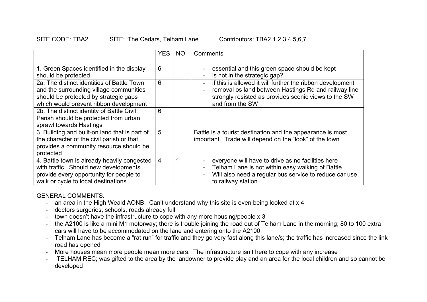|                                                                                                                                                                          | YES. | NO. | Comments                                                                                                                                                                                                                                                               |
|--------------------------------------------------------------------------------------------------------------------------------------------------------------------------|------|-----|------------------------------------------------------------------------------------------------------------------------------------------------------------------------------------------------------------------------------------------------------------------------|
| 1. Green Spaces identified in the display<br>should be protected                                                                                                         | 6    |     | essential and this green space should be kept<br>$\overline{a}$<br>is not in the strategic gap?<br>$\qquad \qquad \blacksquare$                                                                                                                                        |
| 2a. The distinct identities of Battle Town<br>and the surrounding village communities<br>should be protected by strategic gaps<br>which would prevent ribbon development | 6    |     | if this is allowed it will further the ribbon development<br>$\overline{\phantom{a}}$<br>removal os land between Hastings Rd and railway line<br>strongly resisted as provides scenic views to the SW<br>and from the SW                                               |
| 2b. The distinct identity of Battle Civil<br>Parish should be protected from urban<br>sprawl towards Hastings                                                            | 6    |     |                                                                                                                                                                                                                                                                        |
| 3. Building and built-on land that is part of<br>the character of the civil parish or that<br>provides a community resource should be<br>protected                       | 5    |     | Battle is a tourist destination and the appearance is most<br>important. Trade will depend on the "look" of the town                                                                                                                                                   |
| 4. Battle town is already heavily congested<br>with traffic. Should new developments<br>provide every opportunity for people to<br>walk or cycle to local destinations   | 4    | 1   | everyone will have to drive as no facilities here<br>$\overline{\phantom{0}}$<br>Telham Lane is not within easy walking of Battle<br>$\qquad \qquad \blacksquare$<br>Will also need a regular bus service to reduce car use<br>$\qquad \qquad -$<br>to railway station |

- an area in the High Weald AONB. Can't understand why this site is even being looked at x 4
- doctors surgeries, schools, roads already full
- town doesn't have the infrastructure to cope with any more housing/people x 3
- the A2100 is like a mini M1 motorway; there is trouble joining the road out of Telham Lane in the morning; 80 to 100 extra cars will have to be accommodated on the lane and entering onto the A2100
- Telham Lane has become a "rat run" for traffic and they go very fast along this lane/s; the traffic has increased since the link road has opened
- More houses mean more people mean more cars. The infrastructure isn't here to cope with any increase
- TELHAM REC; was gifted to the area by the landowner to provide play and an area for the local children and so cannot be developed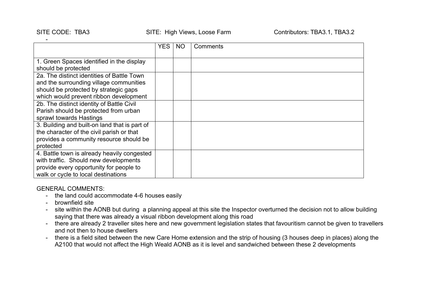#### SITE CODE: TBA3 SITE: High Views, Loose Farm Contributors: TBA3.1, TBA3.2

|                                               | <b>YES</b> | NO. | Comments |
|-----------------------------------------------|------------|-----|----------|
|                                               |            |     |          |
| 1. Green Spaces identified in the display     |            |     |          |
| should be protected                           |            |     |          |
| 2a. The distinct identities of Battle Town    |            |     |          |
| and the surrounding village communities       |            |     |          |
| should be protected by strategic gaps         |            |     |          |
| which would prevent ribbon development        |            |     |          |
| 2b. The distinct identity of Battle Civil     |            |     |          |
| Parish should be protected from urban         |            |     |          |
| sprawl towards Hastings                       |            |     |          |
| 3. Building and built-on land that is part of |            |     |          |
| the character of the civil parish or that     |            |     |          |
| provides a community resource should be       |            |     |          |
| protected                                     |            |     |          |
| 4. Battle town is already heavily congested   |            |     |          |
| with traffic. Should new developments         |            |     |          |
| provide every opportunity for people to       |            |     |          |
| walk or cycle to local destinations           |            |     |          |

- the land could accommodate 4-6 houses easily
- brownfield site
- site within the AONB but during a planning appeal at this site the Inspector overturned the decision not to allow building saying that there was already a visual ribbon development along this road
- there are already 2 traveller sites here and new government legislation states that favouritism cannot be given to travellers and not then to house dwellers
- there is a field sited between the new Care Home extension and the strip of housing (3 houses deep in places) along the A2100 that would not affect the High Weald AONB as it is level and sandwiched between these 2 developments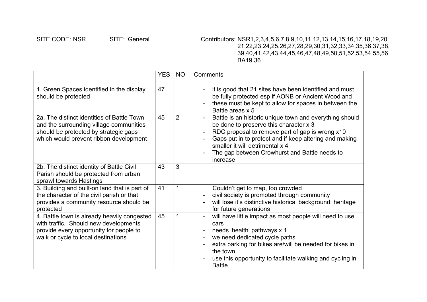### SITE CODE: NSR SITE: General Contributors: NSR1,2,3,4,5,6,7,8,9,10,11,12,13,14,15,16,17,18,19,20 21,22,23,24,25,26,27,28,29,30,31,32,33,34,35,36,37,38, 39,40,41,42,43,44,45,46,47,48,49,50,51,52,53,54,55,56 BA19.36

|                                                                                                                                                                          | <b>YES</b> | <b>NO</b>      | Comments                                                                                                                                                                                                                                                                                                                         |
|--------------------------------------------------------------------------------------------------------------------------------------------------------------------------|------------|----------------|----------------------------------------------------------------------------------------------------------------------------------------------------------------------------------------------------------------------------------------------------------------------------------------------------------------------------------|
| 1. Green Spaces identified in the display<br>should be protected                                                                                                         | 47         |                | it is good that 21 sites have been identified and must<br>$\qquad \qquad -$<br>be fully protected esp if AONB or Ancient Woodland<br>these must be kept to allow for spaces in between the<br>Battle areas x 5                                                                                                                   |
| 2a. The distinct identities of Battle Town<br>and the surrounding village communities<br>should be protected by strategic gaps<br>which would prevent ribbon development | 45         | 2              | Battle is an historic unique town and everything should<br>be done to preserve this character x 3<br>RDC proposal to remove part of gap is wrong x10<br>$\blacksquare$<br>Gaps put in to protect and if keep altering and making<br>smaller it will detrimental x 4<br>The gap between Crowhurst and Battle needs to<br>increase |
| 2b. The distinct identity of Battle Civil<br>Parish should be protected from urban<br>sprawl towards Hastings                                                            | 43         | 3              |                                                                                                                                                                                                                                                                                                                                  |
| 3. Building and built-on land that is part of<br>the character of the civil parish or that<br>provides a community resource should be<br>protected                       | 41         | -1             | Couldn't get to map, too crowded<br>civil society is promoted through community<br>will lose it's distinctive historical background; heritage<br>$\overline{\phantom{a}}$<br>for future generations                                                                                                                              |
| 4. Battle town is already heavily congested<br>with traffic. Should new developments<br>provide every opportunity for people to<br>walk or cycle to local destinations   | 45         | $\overline{1}$ | will have little impact as most people will need to use<br>$\blacksquare$<br>cars<br>needs 'health' pathways x 1<br>$\blacksquare$<br>we need dedicated cycle paths<br>extra parking for bikes are/will be needed for bikes in<br>the town<br>use this opportunity to facilitate walking and cycling in<br><b>Battle</b>         |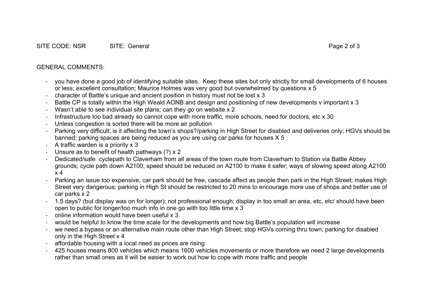- you have done a good job of identifying suitable sites. Keep these sites but only strictly for small developments of 6 houses or less; excellent consultation; Maurice Holmes was very good but overwhelmed by questions x 5
- character of Battle's unique and ancient position in history must not be lost x 3
- Battle CP is totally within the High Weald AONB and design and positioning of new developments v important x 3
- Wasn't able to see individual site plans; can they go on website x 2
- Infrastructure too bad already so cannot cope with more traffic, more schools, need for doctors, etc x 30
- Unless congestion is sorted there will be more air pollution
- Parking very difficult; is it affecting the town's shops?/parking in High Street for disabled and deliveries only; HGVs should be banned; parking spaces are being reduced as you are using car parks for houses X 5
- A traffic warden is a priority  $x 3$
- Unsure as to benefit of health pathways  $(?) \times 2$
- Dedicated/safe cyclepath to Claverham from all areas of the town route from Claverham to Station via Battle Abbey grounds; cycle path down A2100; speed should be reduced on A2100 to make it safer; ways of slowing speed along A2100 x 4
- Parking an issue too expensive, car park should be free, cascade affect as people then park in the High Street; makes High Street very dangerous; parking in High St should be restricted to 20 mins to encourage more use of shops and better use of car parks x 2
- 1.5 days? (but display was on for longer); not professional enough; display in too small an area, etc, etc/ should have been open to public for longer/too much info in one go with too little time x 3
- online information would have been useful x 3
- would be helpful to know the time scale for the developments and how big Battle's population will increase
- we need a bypass or an alternative main route other than High Street; stop HGVs coming thru town; parking for disabled only in the High Street x 4
- affordable housing with a local need as prices are rising
- 425 houses means 800 vehicles which means 1600 vehicles movements or more therefore we need 2 large developments rather than small ones as it will be easier to work out how to cope with more traffic and people